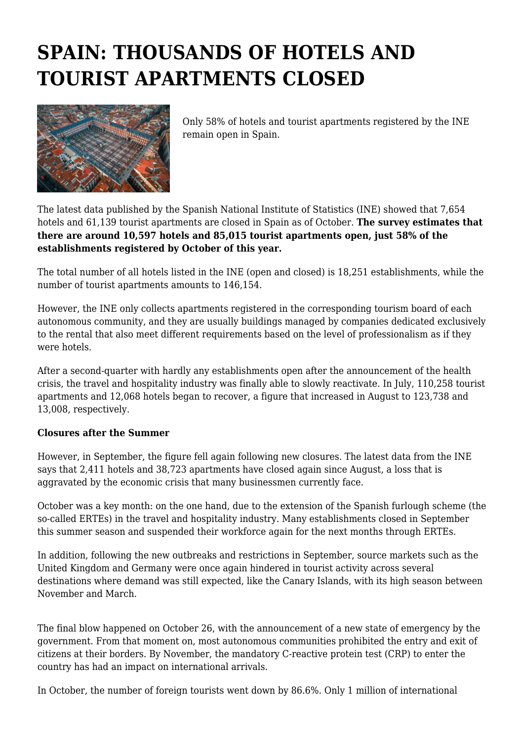## **SPAIN: THOUSANDS OF HOTELS AND TOURIST APARTMENTS CLOSED**



Only 58% of hotels and tourist apartments registered by the INE remain open in Spain.

The latest data published by the Spanish National Institute of Statistics (INE) showed that 7,654 hotels and 61,139 tourist apartments are closed in Spain as of October. **The survey estimates that there are around 10,597 hotels and 85,015 tourist apartments open, just 58% of the establishments registered by October of this year.**

The total number of all hotels listed in the INE (open and closed) is 18,251 establishments, while the number of tourist apartments amounts to 146,154.

However, the INE only collects apartments registered in the corresponding tourism board of each autonomous community, and they are usually buildings managed by companies dedicated exclusively to the rental that also meet different requirements based on the level of professionalism as if they were hotels.

After a second-quarter with hardly any establishments open after the announcement of the health crisis, the travel and hospitality industry was finally able to slowly reactivate. In July, 110,258 tourist apartments and 12,068 hotels began to recover, a figure that increased in August to 123,738 and 13,008, respectively.

## **Closures after the Summer**

However, in September, the figure fell again following new closures. The latest data from the INE says that 2,411 hotels and 38,723 apartments have closed again since August, a loss that is aggravated by the economic crisis that many businessmen currently face.

October was a key month: on the one hand, due to the extension of the Spanish furlough scheme (the so-called ERTEs) in the travel and hospitality industry. Many establishments closed in September this summer season and suspended their workforce again for the next months through ERTEs.

In addition, following the new outbreaks and restrictions in September, source markets such as the United Kingdom and Germany were once again hindered in tourist activity across several destinations where demand was still expected, like the Canary Islands, with its high season between November and March.

The final blow happened on October 26, with the announcement of a new state of emergency by the government. From that moment on, most autonomous communities prohibited the entry and exit of citizens at their borders. By November, the mandatory C-reactive protein test (CRP) to enter the country has had an impact on international arrivals.

In October, the number of foreign tourists went down by 86.6%. Only 1 million of international